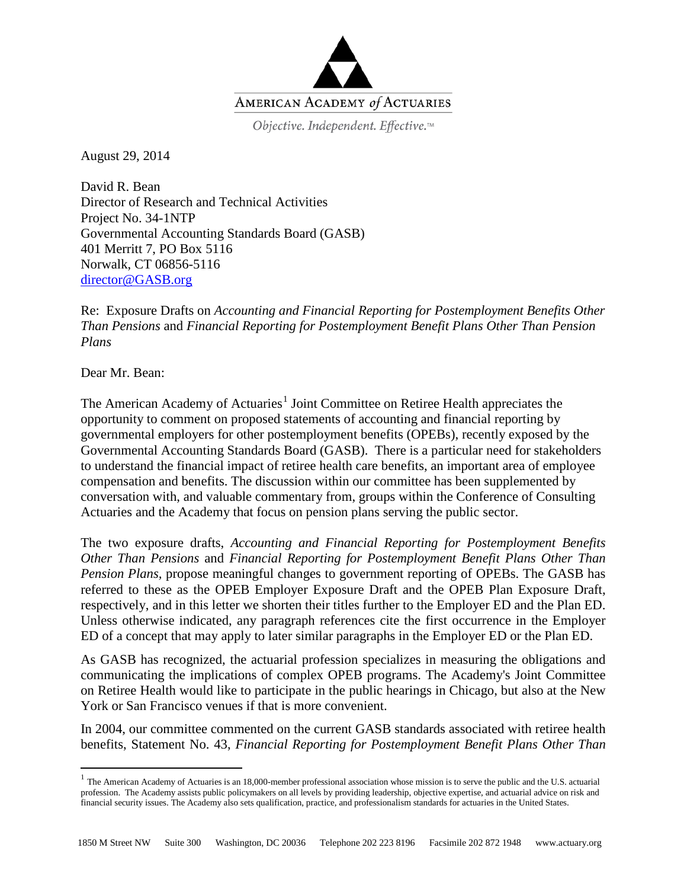

Objective. Independent. Effective.™

August 29, 2014

David R. Bean Director of Research and Technical Activities Project No. 34-1NTP Governmental Accounting Standards Board (GASB) 401 Merritt 7, PO Box 5116 Norwalk, CT 06856-5116 [director@GASB.org](mailto:director@GASB.org)

Re: Exposure Drafts on *Accounting and Financial Reporting for Postemployment Benefits Other Than Pensions* and *Financial Reporting for Postemployment Benefit Plans Other Than Pension Plans*

Dear Mr. Bean:

The American Academy of Actuaries<sup>[1](#page-0-0)</sup> Joint Committee on Retiree Health appreciates the opportunity to comment on proposed statements of accounting and financial reporting by governmental employers for other postemployment benefits (OPEBs), recently exposed by the Governmental Accounting Standards Board (GASB). There is a particular need for stakeholders to understand the financial impact of retiree health care benefits, an important area of employee compensation and benefits. The discussion within our committee has been supplemented by conversation with, and valuable commentary from, groups within the Conference of Consulting Actuaries and the Academy that focus on pension plans serving the public sector.

The two exposure drafts, *Accounting and Financial Reporting for Postemployment Benefits Other Than Pensions* and *Financial Reporting for Postemployment Benefit Plans Other Than Pension Plans,* propose meaningful changes to government reporting of OPEBs. The GASB has referred to these as the OPEB Employer Exposure Draft and the OPEB Plan Exposure Draft, respectively, and in this letter we shorten their titles further to the Employer ED and the Plan ED. Unless otherwise indicated, any paragraph references cite the first occurrence in the Employer ED of a concept that may apply to later similar paragraphs in the Employer ED or the Plan ED.

As GASB has recognized, the actuarial profession specializes in measuring the obligations and communicating the implications of complex OPEB programs. The Academy's Joint Committee on Retiree Health would like to participate in the public hearings in Chicago, but also at the New York or San Francisco venues if that is more convenient.

In 2004, our committee commented on the current GASB standards associated with retiree health benefits, Statement No. 43, *Financial Reporting for Postemployment Benefit Plans Other Than* 

<span id="page-0-0"></span> $<sup>1</sup>$  The American Academy of Actuaries is an 18,000-member professional association whose mission is to serve the public and the U.S. actuarial</sup> profession. The Academy assists public policymakers on all levels by providing leadership, objective expertise, and actuarial advice on risk and financial security issues. The Academy also sets qualification, practice, and professionalism standards for actuaries in the United States.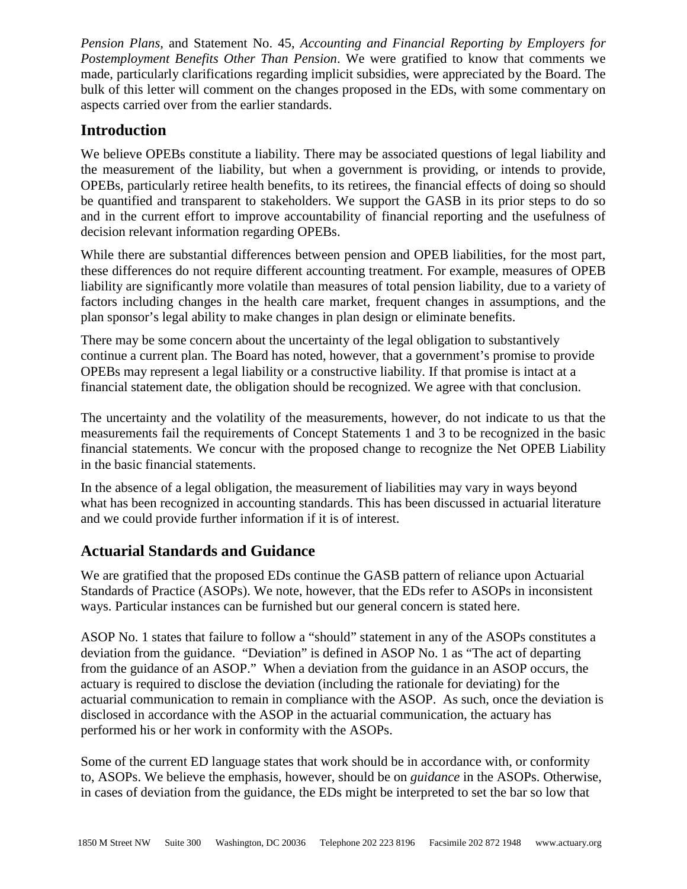*Pension Plans,* and Statement No. 45, *Accounting and Financial Reporting by Employers for Postemployment Benefits Other Than Pension*. We were gratified to know that comments we made, particularly clarifications regarding implicit subsidies, were appreciated by the Board. The bulk of this letter will comment on the changes proposed in the EDs, with some commentary on aspects carried over from the earlier standards.

## **Introduction**

We believe OPEBs constitute a liability. There may be associated questions of legal liability and the measurement of the liability, but when a government is providing, or intends to provide, OPEBs, particularly retiree health benefits, to its retirees, the financial effects of doing so should be quantified and transparent to stakeholders. We support the GASB in its prior steps to do so and in the current effort to improve accountability of financial reporting and the usefulness of decision relevant information regarding OPEBs.

While there are substantial differences between pension and OPEB liabilities, for the most part, these differences do not require different accounting treatment. For example, measures of OPEB liability are significantly more volatile than measures of total pension liability, due to a variety of factors including changes in the health care market, frequent changes in assumptions, and the plan sponsor's legal ability to make changes in plan design or eliminate benefits.

There may be some concern about the uncertainty of the legal obligation to substantively continue a current plan. The Board has noted, however, that a government's promise to provide OPEBs may represent a legal liability or a constructive liability. If that promise is intact at a financial statement date, the obligation should be recognized. We agree with that conclusion.

The uncertainty and the volatility of the measurements, however, do not indicate to us that the measurements fail the requirements of Concept Statements 1 and 3 to be recognized in the basic financial statements. We concur with the proposed change to recognize the Net OPEB Liability in the basic financial statements.

In the absence of a legal obligation, the measurement of liabilities may vary in ways beyond what has been recognized in accounting standards. This has been discussed in actuarial literature and we could provide further information if it is of interest.

# **Actuarial Standards and Guidance**

We are gratified that the proposed EDs continue the GASB pattern of reliance upon Actuarial Standards of Practice (ASOPs). We note, however, that the EDs refer to ASOPs in inconsistent ways. Particular instances can be furnished but our general concern is stated here.

ASOP No. 1 states that failure to follow a "should" statement in any of the ASOPs constitutes a deviation from the guidance. "Deviation" is defined in ASOP No. 1 as "The act of departing from the guidance of an ASOP." When a deviation from the guidance in an ASOP occurs, the actuary is required to disclose the deviation (including the rationale for deviating) for the actuarial communication to remain in compliance with the ASOP. As such, once the deviation is disclosed in accordance with the ASOP in the actuarial communication, the actuary has performed his or her work in conformity with the ASOPs.

Some of the current ED language states that work should be in accordance with, or conformity to, ASOPs. We believe the emphasis, however, should be on *guidance* in the ASOPs. Otherwise, in cases of deviation from the guidance, the EDs might be interpreted to set the bar so low that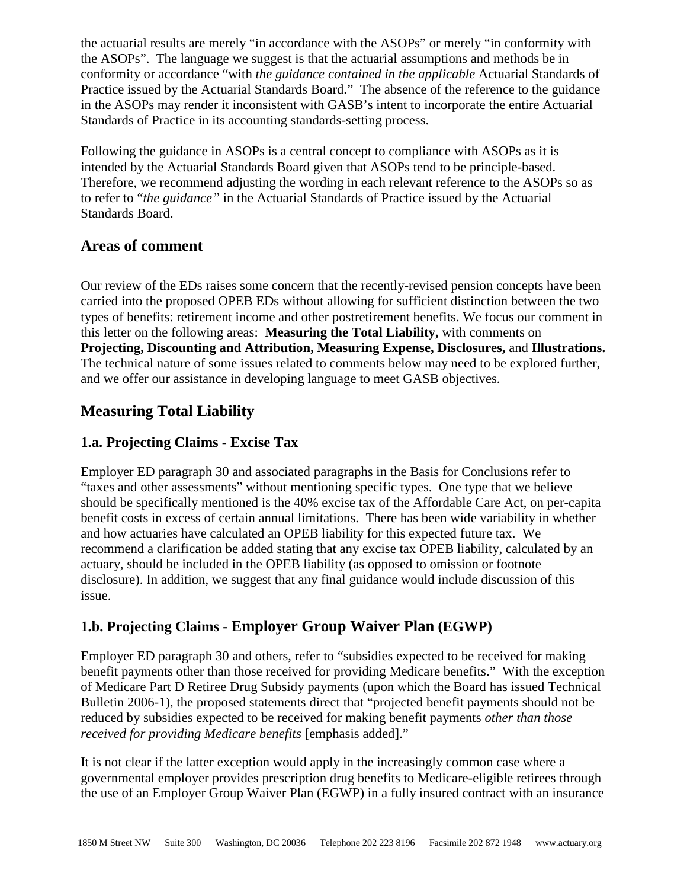the actuarial results are merely "in accordance with the ASOPs" or merely "in conformity with the ASOPs". The language we suggest is that the actuarial assumptions and methods be in conformity or accordance "with *the guidance contained in the applicable* Actuarial Standards of Practice issued by the Actuarial Standards Board." The absence of the reference to the guidance in the ASOPs may render it inconsistent with GASB's intent to incorporate the entire Actuarial Standards of Practice in its accounting standards-setting process.

Following the guidance in ASOPs is a central concept to compliance with ASOPs as it is intended by the Actuarial Standards Board given that ASOPs tend to be principle-based. Therefore, we recommend adjusting the wording in each relevant reference to the ASOPs so as to refer to "*the guidance"* in the Actuarial Standards of Practice issued by the Actuarial Standards Board.

# **Areas of comment**

Our review of the EDs raises some concern that the recently-revised pension concepts have been carried into the proposed OPEB EDs without allowing for sufficient distinction between the two types of benefits: retirement income and other postretirement benefits. We focus our comment in this letter on the following areas: **Measuring the Total Liability,** with comments on **Projecting, Discounting and Attribution, Measuring Expense, Disclosures,** and **Illustrations.**  The technical nature of some issues related to comments below may need to be explored further, and we offer our assistance in developing language to meet GASB objectives.

# **Measuring Total Liability**

### **1.a. Projecting Claims - Excise Tax**

Employer ED paragraph 30 and associated paragraphs in the Basis for Conclusions refer to "taxes and other assessments" without mentioning specific types. One type that we believe should be specifically mentioned is the 40% excise tax of the Affordable Care Act, on per-capita benefit costs in excess of certain annual limitations. There has been wide variability in whether and how actuaries have calculated an OPEB liability for this expected future tax. We recommend a clarification be added stating that any excise tax OPEB liability, calculated by an actuary, should be included in the OPEB liability (as opposed to omission or footnote disclosure). In addition, we suggest that any final guidance would include discussion of this issue.

# **1.b. Projecting Claims - Employer Group Waiver Plan (EGWP)**

Employer ED paragraph 30 and others, refer to "subsidies expected to be received for making benefit payments other than those received for providing Medicare benefits." With the exception of Medicare Part D Retiree Drug Subsidy payments (upon which the Board has issued Technical Bulletin 2006-1), the proposed statements direct that "projected benefit payments should not be reduced by subsidies expected to be received for making benefit payments *other than those received for providing Medicare benefits* [emphasis added]."

It is not clear if the latter exception would apply in the increasingly common case where a governmental employer provides prescription drug benefits to Medicare-eligible retirees through the use of an Employer Group Waiver Plan (EGWP) in a fully insured contract with an insurance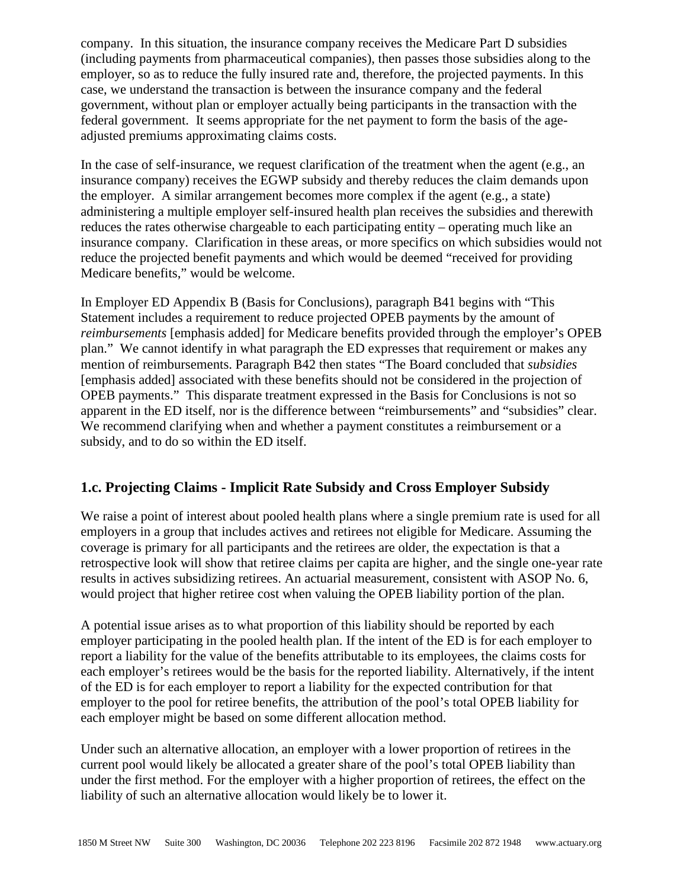company. In this situation, the insurance company receives the Medicare Part D subsidies (including payments from pharmaceutical companies), then passes those subsidies along to the employer, so as to reduce the fully insured rate and, therefore, the projected payments. In this case, we understand the transaction is between the insurance company and the federal government, without plan or employer actually being participants in the transaction with the federal government. It seems appropriate for the net payment to form the basis of the ageadjusted premiums approximating claims costs.

In the case of self-insurance, we request clarification of the treatment when the agent (e.g., an insurance company) receives the EGWP subsidy and thereby reduces the claim demands upon the employer. A similar arrangement becomes more complex if the agent (e.g., a state) administering a multiple employer self-insured health plan receives the subsidies and therewith reduces the rates otherwise chargeable to each participating entity – operating much like an insurance company. Clarification in these areas, or more specifics on which subsidies would not reduce the projected benefit payments and which would be deemed "received for providing Medicare benefits," would be welcome.

In Employer ED Appendix B (Basis for Conclusions), paragraph B41 begins with "This Statement includes a requirement to reduce projected OPEB payments by the amount of *reimbursements* [emphasis added] for Medicare benefits provided through the employer's OPEB plan." We cannot identify in what paragraph the ED expresses that requirement or makes any mention of reimbursements. Paragraph B42 then states "The Board concluded that *subsidies*  [emphasis added] associated with these benefits should not be considered in the projection of OPEB payments." This disparate treatment expressed in the Basis for Conclusions is not so apparent in the ED itself, nor is the difference between "reimbursements" and "subsidies" clear. We recommend clarifying when and whether a payment constitutes a reimbursement or a subsidy, and to do so within the ED itself.

### **1.c. Projecting Claims - Implicit Rate Subsidy and Cross Employer Subsidy**

We raise a point of interest about pooled health plans where a single premium rate is used for all employers in a group that includes actives and retirees not eligible for Medicare. Assuming the coverage is primary for all participants and the retirees are older, the expectation is that a retrospective look will show that retiree claims per capita are higher, and the single one-year rate results in actives subsidizing retirees. An actuarial measurement, consistent with ASOP No. 6, would project that higher retiree cost when valuing the OPEB liability portion of the plan.

A potential issue arises as to what proportion of this liability should be reported by each employer participating in the pooled health plan. If the intent of the ED is for each employer to report a liability for the value of the benefits attributable to its employees, the claims costs for each employer's retirees would be the basis for the reported liability. Alternatively, if the intent of the ED is for each employer to report a liability for the expected contribution for that employer to the pool for retiree benefits, the attribution of the pool's total OPEB liability for each employer might be based on some different allocation method.

Under such an alternative allocation, an employer with a lower proportion of retirees in the current pool would likely be allocated a greater share of the pool's total OPEB liability than under the first method. For the employer with a higher proportion of retirees, the effect on the liability of such an alternative allocation would likely be to lower it.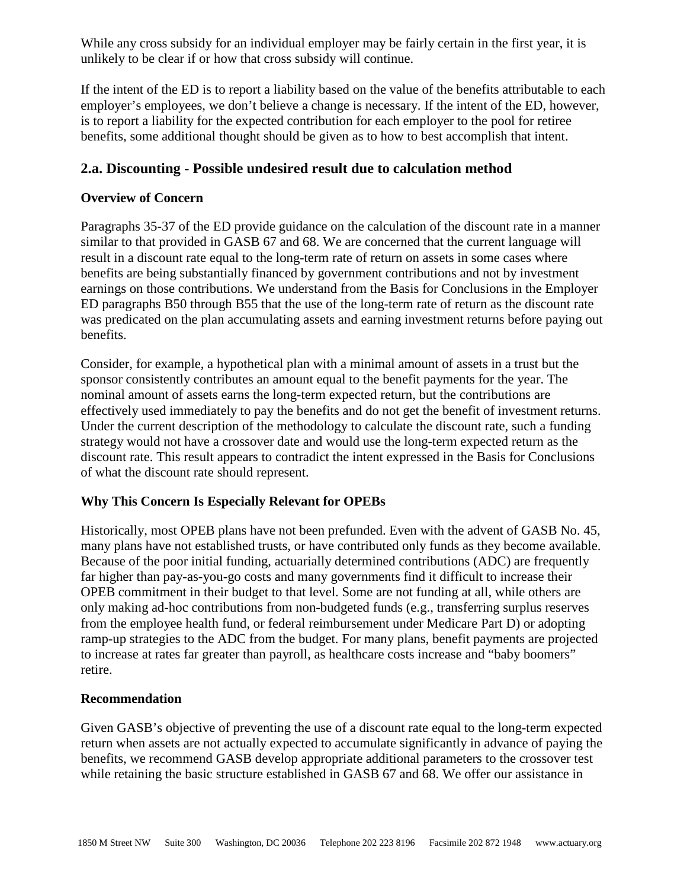While any cross subsidy for an individual employer may be fairly certain in the first year, it is unlikely to be clear if or how that cross subsidy will continue.

If the intent of the ED is to report a liability based on the value of the benefits attributable to each employer's employees, we don't believe a change is necessary. If the intent of the ED, however, is to report a liability for the expected contribution for each employer to the pool for retiree benefits, some additional thought should be given as to how to best accomplish that intent.

### **2.a. Discounting - Possible undesired result due to calculation method**

### **Overview of Concern**

Paragraphs 35-37 of the ED provide guidance on the calculation of the discount rate in a manner similar to that provided in GASB 67 and 68. We are concerned that the current language will result in a discount rate equal to the long-term rate of return on assets in some cases where benefits are being substantially financed by government contributions and not by investment earnings on those contributions. We understand from the Basis for Conclusions in the Employer ED paragraphs B50 through B55 that the use of the long-term rate of return as the discount rate was predicated on the plan accumulating assets and earning investment returns before paying out benefits.

Consider, for example, a hypothetical plan with a minimal amount of assets in a trust but the sponsor consistently contributes an amount equal to the benefit payments for the year. The nominal amount of assets earns the long-term expected return, but the contributions are effectively used immediately to pay the benefits and do not get the benefit of investment returns. Under the current description of the methodology to calculate the discount rate, such a funding strategy would not have a crossover date and would use the long-term expected return as the discount rate. This result appears to contradict the intent expressed in the Basis for Conclusions of what the discount rate should represent.

### **Why This Concern Is Especially Relevant for OPEBs**

Historically, most OPEB plans have not been prefunded. Even with the advent of GASB No. 45, many plans have not established trusts, or have contributed only funds as they become available. Because of the poor initial funding, actuarially determined contributions (ADC) are frequently far higher than pay-as-you-go costs and many governments find it difficult to increase their OPEB commitment in their budget to that level. Some are not funding at all, while others are only making ad-hoc contributions from non-budgeted funds (e.g., transferring surplus reserves from the employee health fund, or federal reimbursement under Medicare Part D) or adopting ramp-up strategies to the ADC from the budget. For many plans, benefit payments are projected to increase at rates far greater than payroll, as healthcare costs increase and "baby boomers" retire.

#### **Recommendation**

Given GASB's objective of preventing the use of a discount rate equal to the long-term expected return when assets are not actually expected to accumulate significantly in advance of paying the benefits, we recommend GASB develop appropriate additional parameters to the crossover test while retaining the basic structure established in GASB 67 and 68. We offer our assistance in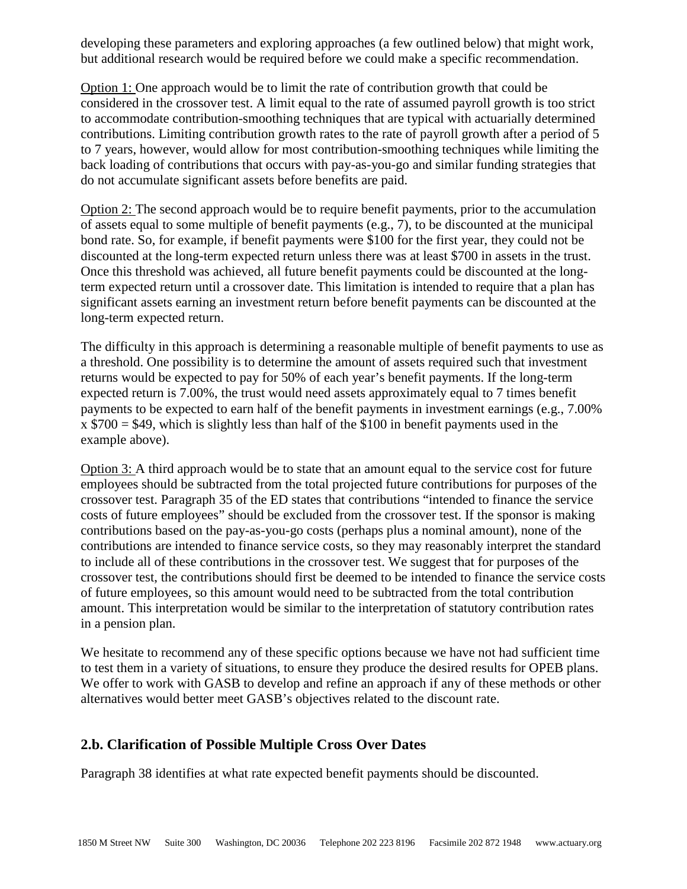developing these parameters and exploring approaches (a few outlined below) that might work, but additional research would be required before we could make a specific recommendation.

Option 1: One approach would be to limit the rate of contribution growth that could be considered in the crossover test. A limit equal to the rate of assumed payroll growth is too strict to accommodate contribution-smoothing techniques that are typical with actuarially determined contributions. Limiting contribution growth rates to the rate of payroll growth after a period of 5 to 7 years, however, would allow for most contribution-smoothing techniques while limiting the back loading of contributions that occurs with pay-as-you-go and similar funding strategies that do not accumulate significant assets before benefits are paid.

Option 2: The second approach would be to require benefit payments, prior to the accumulation of assets equal to some multiple of benefit payments (e.g., 7), to be discounted at the municipal bond rate. So, for example, if benefit payments were \$100 for the first year, they could not be discounted at the long-term expected return unless there was at least \$700 in assets in the trust. Once this threshold was achieved, all future benefit payments could be discounted at the longterm expected return until a crossover date. This limitation is intended to require that a plan has significant assets earning an investment return before benefit payments can be discounted at the long-term expected return.

The difficulty in this approach is determining a reasonable multiple of benefit payments to use as a threshold. One possibility is to determine the amount of assets required such that investment returns would be expected to pay for 50% of each year's benefit payments. If the long-term expected return is 7.00%, the trust would need assets approximately equal to 7 times benefit payments to be expected to earn half of the benefit payments in investment earnings (e.g., 7.00%  $x$  \$700 = \$49, which is slightly less than half of the \$100 in benefit payments used in the example above).

Option 3: A third approach would be to state that an amount equal to the service cost for future employees should be subtracted from the total projected future contributions for purposes of the crossover test. Paragraph 35 of the ED states that contributions "intended to finance the service costs of future employees" should be excluded from the crossover test. If the sponsor is making contributions based on the pay-as-you-go costs (perhaps plus a nominal amount), none of the contributions are intended to finance service costs, so they may reasonably interpret the standard to include all of these contributions in the crossover test. We suggest that for purposes of the crossover test, the contributions should first be deemed to be intended to finance the service costs of future employees, so this amount would need to be subtracted from the total contribution amount. This interpretation would be similar to the interpretation of statutory contribution rates in a pension plan.

We hesitate to recommend any of these specific options because we have not had sufficient time to test them in a variety of situations, to ensure they produce the desired results for OPEB plans. We offer to work with GASB to develop and refine an approach if any of these methods or other alternatives would better meet GASB's objectives related to the discount rate.

### **2.b. Clarification of Possible Multiple Cross Over Dates**

Paragraph 38 identifies at what rate expected benefit payments should be discounted.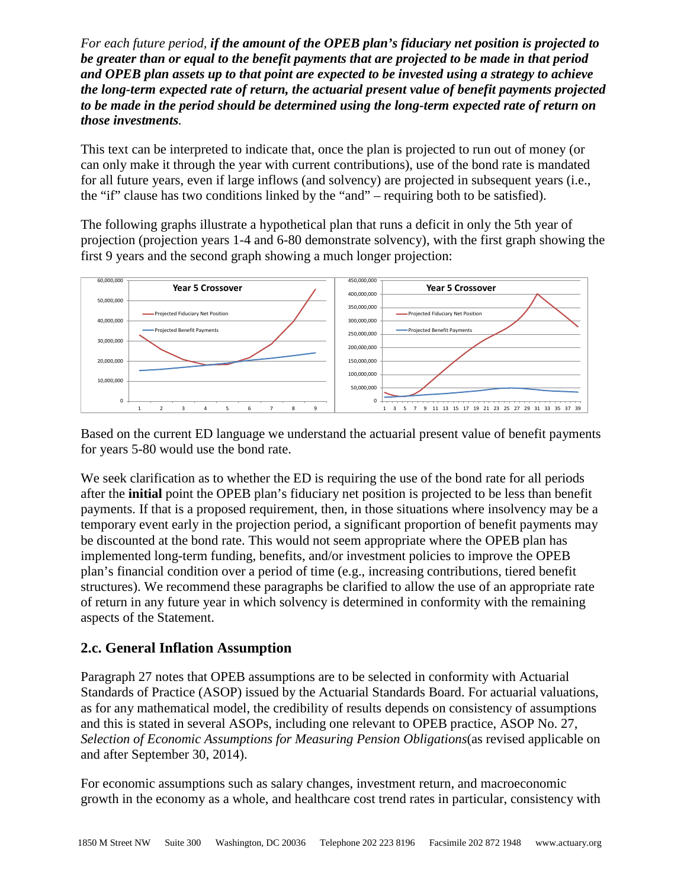*For each future period, if the amount of the OPEB plan's fiduciary net position is projected to be greater than or equal to the benefit payments that are projected to be made in that period and OPEB plan assets up to that point are expected to be invested using a strategy to achieve the long-term expected rate of return, the actuarial present value of benefit payments projected to be made in the period should be determined using the long-term expected rate of return on those investments.* 

This text can be interpreted to indicate that, once the plan is projected to run out of money (or can only make it through the year with current contributions), use of the bond rate is mandated for all future years, even if large inflows (and solvency) are projected in subsequent years (i.e., the "if" clause has two conditions linked by the "and" – requiring both to be satisfied).

The following graphs illustrate a hypothetical plan that runs a deficit in only the 5th year of projection (projection years 1-4 and 6-80 demonstrate solvency), with the first graph showing the first 9 years and the second graph showing a much longer projection:



Based on the current ED language we understand the actuarial present value of benefit payments for years 5-80 would use the bond rate.

We seek clarification as to whether the ED is requiring the use of the bond rate for all periods after the **initial** point the OPEB plan's fiduciary net position is projected to be less than benefit payments. If that is a proposed requirement, then, in those situations where insolvency may be a temporary event early in the projection period, a significant proportion of benefit payments may be discounted at the bond rate. This would not seem appropriate where the OPEB plan has implemented long-term funding, benefits, and/or investment policies to improve the OPEB plan's financial condition over a period of time (e.g., increasing contributions, tiered benefit structures). We recommend these paragraphs be clarified to allow the use of an appropriate rate of return in any future year in which solvency is determined in conformity with the remaining aspects of the Statement.

### **2.c. General Inflation Assumption**

Paragraph 27 notes that OPEB assumptions are to be selected in conformity with Actuarial Standards of Practice (ASOP) issued by the Actuarial Standards Board. For actuarial valuations, as for any mathematical model, the credibility of results depends on consistency of assumptions and this is stated in several ASOPs, including one relevant to OPEB practice, ASOP No. 27, *Selection of Economic Assumptions for Measuring Pension Obligations*(as revised applicable on and after September 30, 2014).

For economic assumptions such as salary changes, investment return, and macroeconomic growth in the economy as a whole, and healthcare cost trend rates in particular, consistency with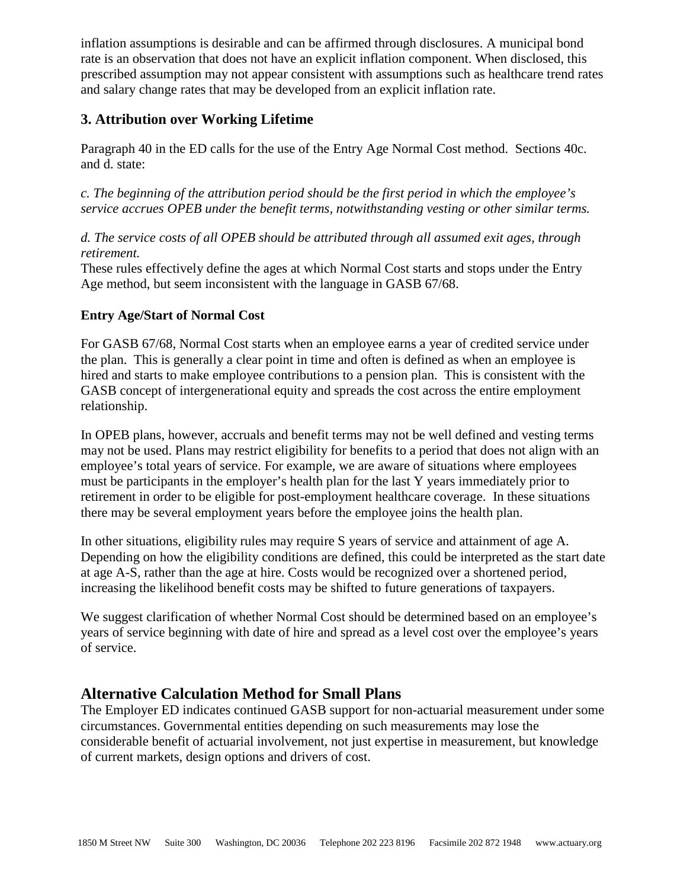inflation assumptions is desirable and can be affirmed through disclosures. A municipal bond rate is an observation that does not have an explicit inflation component. When disclosed, this prescribed assumption may not appear consistent with assumptions such as healthcare trend rates and salary change rates that may be developed from an explicit inflation rate.

### **3. Attribution over Working Lifetime**

Paragraph 40 in the ED calls for the use of the Entry Age Normal Cost method. Sections 40c. and d. state:

*c. The beginning of the attribution period should be the first period in which the employee's service accrues OPEB under the benefit terms, notwithstanding vesting or other similar terms.*

### *d. The service costs of all OPEB should be attributed through all assumed exit ages, through retirement.*

These rules effectively define the ages at which Normal Cost starts and stops under the Entry Age method, but seem inconsistent with the language in GASB 67/68.

### **Entry Age/Start of Normal Cost**

For GASB 67/68, Normal Cost starts when an employee earns a year of credited service under the plan. This is generally a clear point in time and often is defined as when an employee is hired and starts to make employee contributions to a pension plan. This is consistent with the GASB concept of intergenerational equity and spreads the cost across the entire employment relationship.

In OPEB plans, however, accruals and benefit terms may not be well defined and vesting terms may not be used. Plans may restrict eligibility for benefits to a period that does not align with an employee's total years of service. For example, we are aware of situations where employees must be participants in the employer's health plan for the last Y years immediately prior to retirement in order to be eligible for post-employment healthcare coverage. In these situations there may be several employment years before the employee joins the health plan.

In other situations, eligibility rules may require S years of service and attainment of age A. Depending on how the eligibility conditions are defined, this could be interpreted as the start date at age A-S, rather than the age at hire. Costs would be recognized over a shortened period, increasing the likelihood benefit costs may be shifted to future generations of taxpayers.

We suggest clarification of whether Normal Cost should be determined based on an employee's years of service beginning with date of hire and spread as a level cost over the employee's years of service.

# **Alternative Calculation Method for Small Plans**

The Employer ED indicates continued GASB support for non-actuarial measurement under some circumstances. Governmental entities depending on such measurements may lose the considerable benefit of actuarial involvement, not just expertise in measurement, but knowledge of current markets, design options and drivers of cost.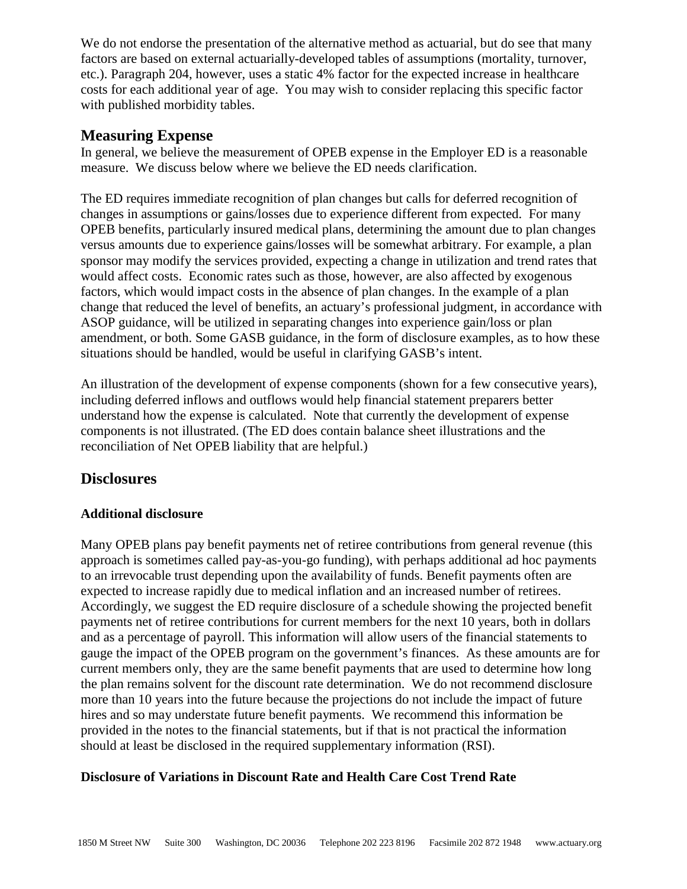We do not endorse the presentation of the alternative method as actuarial, but do see that many factors are based on external actuarially-developed tables of assumptions (mortality, turnover, etc.). Paragraph 204, however, uses a static 4% factor for the expected increase in healthcare costs for each additional year of age. You may wish to consider replacing this specific factor with published morbidity tables.

### **Measuring Expense**

In general, we believe the measurement of OPEB expense in the Employer ED is a reasonable measure. We discuss below where we believe the ED needs clarification.

The ED requires immediate recognition of plan changes but calls for deferred recognition of changes in assumptions or gains/losses due to experience different from expected. For many OPEB benefits, particularly insured medical plans, determining the amount due to plan changes versus amounts due to experience gains/losses will be somewhat arbitrary. For example, a plan sponsor may modify the services provided, expecting a change in utilization and trend rates that would affect costs. Economic rates such as those, however, are also affected by exogenous factors, which would impact costs in the absence of plan changes. In the example of a plan change that reduced the level of benefits, an actuary's professional judgment, in accordance with ASOP guidance, will be utilized in separating changes into experience gain/loss or plan amendment, or both. Some GASB guidance, in the form of disclosure examples, as to how these situations should be handled, would be useful in clarifying GASB's intent.

An illustration of the development of expense components (shown for a few consecutive years), including deferred inflows and outflows would help financial statement preparers better understand how the expense is calculated. Note that currently the development of expense components is not illustrated. (The ED does contain balance sheet illustrations and the reconciliation of Net OPEB liability that are helpful.)

### **Disclosures**

#### **Additional disclosure**

Many OPEB plans pay benefit payments net of retiree contributions from general revenue (this approach is sometimes called pay-as-you-go funding), with perhaps additional ad hoc payments to an irrevocable trust depending upon the availability of funds. Benefit payments often are expected to increase rapidly due to medical inflation and an increased number of retirees. Accordingly, we suggest the ED require disclosure of a schedule showing the projected benefit payments net of retiree contributions for current members for the next 10 years, both in dollars and as a percentage of payroll. This information will allow users of the financial statements to gauge the impact of the OPEB program on the government's finances. As these amounts are for current members only, they are the same benefit payments that are used to determine how long the plan remains solvent for the discount rate determination. We do not recommend disclosure more than 10 years into the future because the projections do not include the impact of future hires and so may understate future benefit payments. We recommend this information be provided in the notes to the financial statements, but if that is not practical the information should at least be disclosed in the required supplementary information (RSI).

#### **Disclosure of Variations in Discount Rate and Health Care Cost Trend Rate**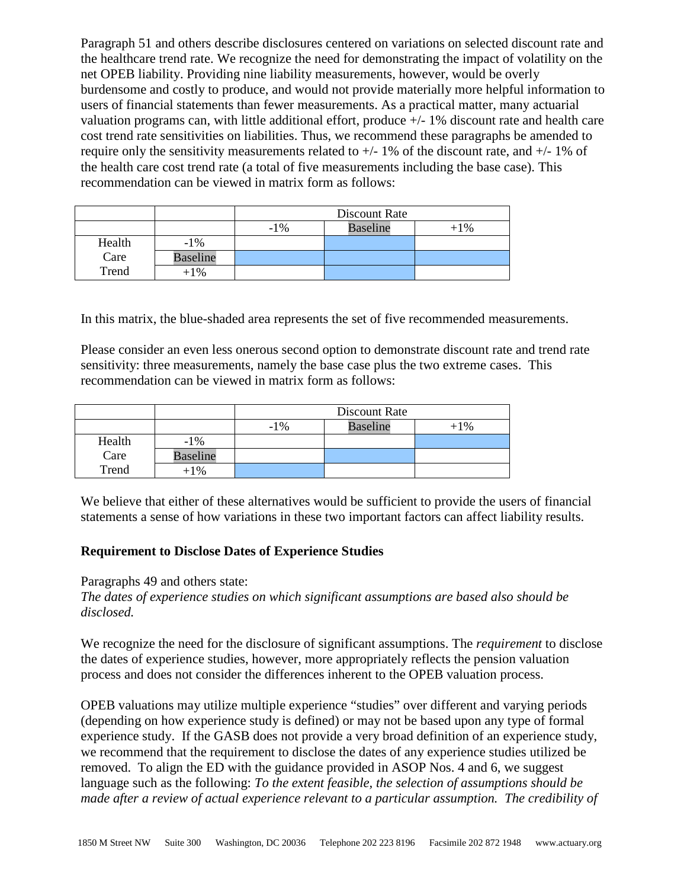Paragraph 51 and others describe disclosures centered on variations on selected discount rate and the healthcare trend rate. We recognize the need for demonstrating the impact of volatility on the net OPEB liability. Providing nine liability measurements, however, would be overly burdensome and costly to produce, and would not provide materially more helpful information to users of financial statements than fewer measurements. As a practical matter, many actuarial valuation programs can, with little additional effort, produce +/- 1% discount rate and health care cost trend rate sensitivities on liabilities. Thus, we recommend these paragraphs be amended to require only the sensitivity measurements related to  $+/- 1\%$  of the discount rate, and  $+/- 1\%$  of the health care cost trend rate (a total of five measurements including the base case). This recommendation can be viewed in matrix form as follows:

|        |                 | Discount Rate |                 |        |
|--------|-----------------|---------------|-----------------|--------|
|        |                 | $-1\%$        | <b>Baseline</b> | $+1\%$ |
| Health | $-1\%$          |               |                 |        |
| Care   | <b>Baseline</b> |               |                 |        |
| Trend  | +1%             |               |                 |        |

In this matrix, the blue-shaded area represents the set of five recommended measurements.

Please consider an even less onerous second option to demonstrate discount rate and trend rate sensitivity: three measurements, namely the base case plus the two extreme cases. This recommendation can be viewed in matrix form as follows:

|        |                 | Discount Rate |                 |        |
|--------|-----------------|---------------|-----------------|--------|
|        |                 | $-1\%$        | <b>Baseline</b> | $+1\%$ |
| Health | $-1\%$          |               |                 |        |
| Care   | <b>Baseline</b> |               |                 |        |
| Trend  | +1%             |               |                 |        |

We believe that either of these alternatives would be sufficient to provide the users of financial statements a sense of how variations in these two important factors can affect liability results.

#### **Requirement to Disclose Dates of Experience Studies**

Paragraphs 49 and others state:

*The dates of experience studies on which significant assumptions are based also should be disclosed.* 

We recognize the need for the disclosure of significant assumptions. The *requirement* to disclose the dates of experience studies, however, more appropriately reflects the pension valuation process and does not consider the differences inherent to the OPEB valuation process.

OPEB valuations may utilize multiple experience "studies" over different and varying periods (depending on how experience study is defined) or may not be based upon any type of formal experience study. If the GASB does not provide a very broad definition of an experience study, we recommend that the requirement to disclose the dates of any experience studies utilized be removed. To align the ED with the guidance provided in ASOP Nos. 4 and 6, we suggest language such as the following: *To the extent feasible, the selection of assumptions should be made after a review of actual experience relevant to a particular assumption. The credibility of*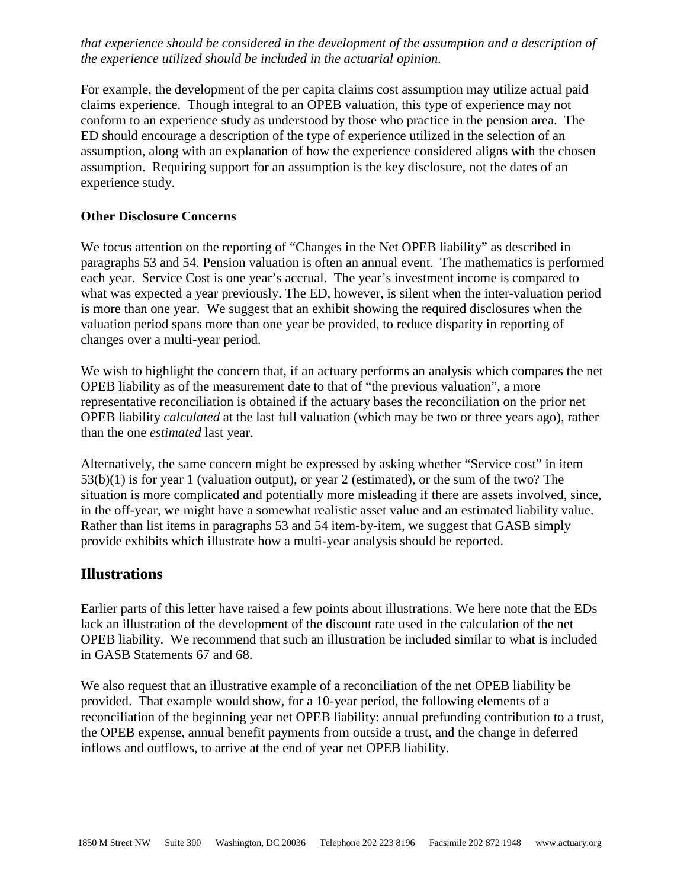*that experience should be considered in the development of the assumption and a description of the experience utilized should be included in the actuarial opinion.*

For example, the development of the per capita claims cost assumption may utilize actual paid claims experience. Though integral to an OPEB valuation, this type of experience may not conform to an experience study as understood by those who practice in the pension area. The ED should encourage a description of the type of experience utilized in the selection of an assumption, along with an explanation of how the experience considered aligns with the chosen assumption. Requiring support for an assumption is the key disclosure, not the dates of an experience study.

#### **Other Disclosure Concerns**

We focus attention on the reporting of "Changes in the Net OPEB liability" as described in paragraphs 53 and 54. Pension valuation is often an annual event. The mathematics is performed each year. Service Cost is one year's accrual. The year's investment income is compared to what was expected a year previously. The ED, however, is silent when the inter-valuation period is more than one year. We suggest that an exhibit showing the required disclosures when the valuation period spans more than one year be provided, to reduce disparity in reporting of changes over a multi-year period.

We wish to highlight the concern that, if an actuary performs an analysis which compares the net OPEB liability as of the measurement date to that of "the previous valuation", a more representative reconciliation is obtained if the actuary bases the reconciliation on the prior net OPEB liability *calculated* at the last full valuation (which may be two or three years ago), rather than the one *estimated* last year.

Alternatively, the same concern might be expressed by asking whether "Service cost" in item 53(b)(1) is for year 1 (valuation output), or year 2 (estimated), or the sum of the two? The situation is more complicated and potentially more misleading if there are assets involved, since, in the off-year, we might have a somewhat realistic asset value and an estimated liability value. Rather than list items in paragraphs 53 and 54 item-by-item, we suggest that GASB simply provide exhibits which illustrate how a multi-year analysis should be reported.

### **Illustrations**

Earlier parts of this letter have raised a few points about illustrations. We here note that the EDs lack an illustration of the development of the discount rate used in the calculation of the net OPEB liability. We recommend that such an illustration be included similar to what is included in GASB Statements 67 and 68.

We also request that an illustrative example of a reconciliation of the net OPEB liability be provided. That example would show, for a 10-year period, the following elements of a reconciliation of the beginning year net OPEB liability: annual prefunding contribution to a trust, the OPEB expense, annual benefit payments from outside a trust, and the change in deferred inflows and outflows, to arrive at the end of year net OPEB liability.